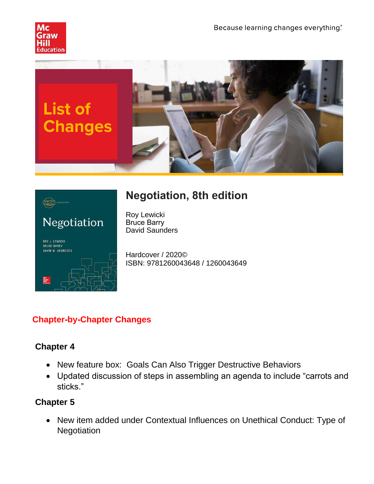





# **Negotiation, 8th edition**

Roy Lewicki Bruce Barry David Saunders

Hardcover / 2020© ISBN: 9781260043648 / 1260043649

# **Chapter-by-Chapter Changes**

## **Chapter 4**

- New feature box: Goals Can Also Trigger Destructive Behaviors
- Updated discussion of steps in assembling an agenda to include "carrots and sticks."

## **Chapter 5**

• New item added under Contextual Influences on Unethical Conduct: Type of **Negotiation**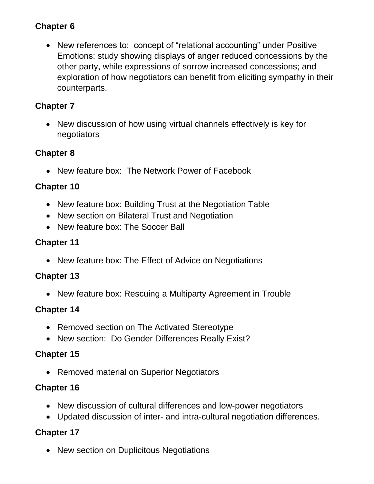### **Chapter 6**

• New references to: concept of "relational accounting" under Positive Emotions: study showing displays of anger reduced concessions by the other party, while expressions of sorrow increased concessions; and exploration of how negotiators can benefit from eliciting sympathy in their counterparts.

#### **Chapter 7**

• New discussion of how using virtual channels effectively is key for negotiators

#### **Chapter 8**

• New feature box: The Network Power of Facebook

#### **Chapter 10**

- New feature box: Building Trust at the Negotiation Table
- New section on Bilateral Trust and Negotiation
- New feature box: The Soccer Ball

#### **Chapter 11**

• New feature box: The Effect of Advice on Negotiations

#### **Chapter 13**

• New feature box: Rescuing a Multiparty Agreement in Trouble

#### **Chapter 14**

- Removed section on The Activated Stereotype
- New section: Do Gender Differences Really Exist?

#### **Chapter 15**

• Removed material on Superior Negotiators

#### **Chapter 16**

- New discussion of cultural differences and low-power negotiators
- Updated discussion of inter- and intra-cultural negotiation differences.

## **Chapter 17**

• New section on Duplicitous Negotiations